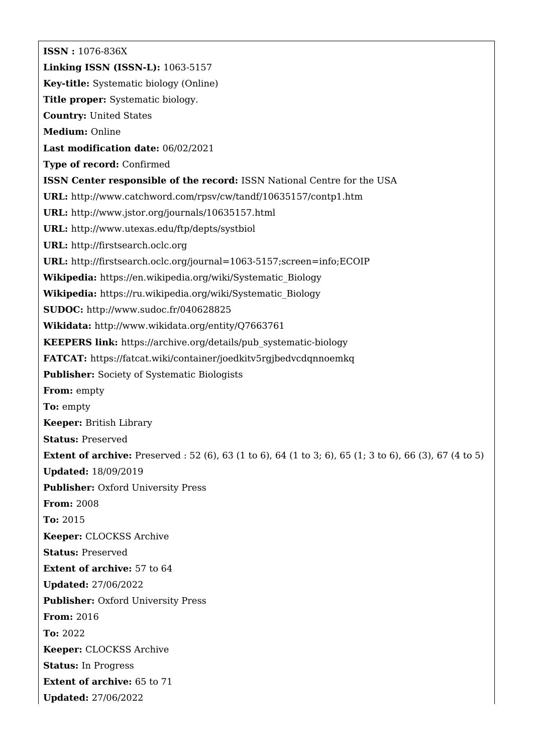**ISSN :** 1076-836X **Linking ISSN (ISSN-L):** 1063-5157 **Key-title:** Systematic biology (Online) **Title proper:** Systematic biology. **Country:** United States **Medium:** Online **Last modification date:** 06/02/2021 **Type of record:** Confirmed **ISSN Center responsible of the record:** ISSN National Centre for the USA **URL:** <http://www.catchword.com/rpsv/cw/tandf/10635157/contp1.htm> **URL:** <http://www.jstor.org/journals/10635157.html> **URL:** <http://www.utexas.edu/ftp/depts/systbiol> **URL:** <http://firstsearch.oclc.org> **URL:** <http://firstsearch.oclc.org/journal=1063-5157;screen=info;ECOIP> **Wikipedia:** [https://en.wikipedia.org/wiki/Systematic\\_Biology](https://en.wikipedia.org/wiki/Systematic_Biology) **Wikipedia:** [https://ru.wikipedia.org/wiki/Systematic\\_Biology](https://ru.wikipedia.org/wiki/Systematic_Biology) **SUDOC:** <http://www.sudoc.fr/040628825> **Wikidata:** <http://www.wikidata.org/entity/Q7663761> **KEEPERS link:** [https://archive.org/details/pub\\_systematic-biology](https://archive.org/details/pub_systematic-biology) **FATCAT:** <https://fatcat.wiki/container/joedkitv5rgjbedvcdqnnoemkq> **Publisher:** Society of Systematic Biologists **From:** empty **To:** empty **Keeper:** British Library **Status:** Preserved **Extent of archive:** Preserved : 52 (6), 63 (1 to 6), 64 (1 to 3; 6), 65 (1; 3 to 6), 66 (3), 67 (4 to 5) **Updated:** 18/09/2019 **Publisher: Oxford University Press From:** 2008 **To:** 2015 **Keeper:** CLOCKSS Archive **Status:** Preserved **Extent of archive:** 57 to 64 **Updated:** 27/06/2022 **Publisher: Oxford University Press From:** 2016 **To:** 2022 **Keeper:** CLOCKSS Archive **Status:** In Progress **Extent of archive:** 65 to 71 **Updated:** 27/06/2022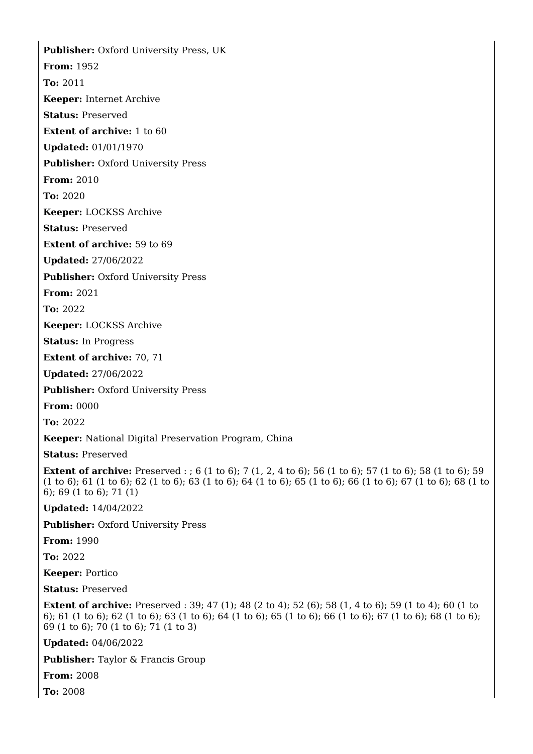**Publisher:** Oxford University Press, UK **From:** 1952 **To:** 2011 **Keeper:** Internet Archive **Status:** Preserved **Extent of archive:** 1 to 60 **Updated:** 01/01/1970 **Publisher:** Oxford University Press **From:** 2010 **To:** 2020 **Keeper:** LOCKSS Archive **Status:** Preserved **Extent of archive:** 59 to 69 **Updated:** 27/06/2022 **Publisher: Oxford University Press** 

**From:** 2021

**To:** 2022

**Keeper:** LOCKSS Archive

**Status:** In Progress

**Extent of archive:** 70, 71

**Updated:** 27/06/2022

**Publisher: Oxford University Press** 

**From:** 0000

**To:** 2022

**Keeper:** National Digital Preservation Program, China

**Status:** Preserved

**Extent of archive:** Preserved : ; 6 (1 to 6); 7 (1, 2, 4 to 6); 56 (1 to 6); 57 (1 to 6); 58 (1 to 6); 59 (1 to 6); 61 (1 to 6); 62 (1 to 6); 63 (1 to 6); 64 (1 to 6); 65 (1 to 6); 66 (1 to 6); 67 (1 to 6); 68 (1 to 6); 69 (1 to 6); 71 (1)

**Updated:** 14/04/2022

**Publisher: Oxford University Press** 

**From:** 1990

**To:** 2022

**Keeper:** Portico

**Status:** Preserved

**Extent of archive:** Preserved : 39; 47 (1); 48 (2 to 4); 52 (6); 58 (1, 4 to 6); 59 (1 to 4); 60 (1 to 6); 61 (1 to 6); 62 (1 to 6); 63 (1 to 6); 64 (1 to 6); 65 (1 to 6); 66 (1 to 6); 67 (1 to 6); 68 (1 to 6); 69 (1 to 6); 70 (1 to 6); 71 (1 to 3)

**Updated:** 04/06/2022

**Publisher:** Taylor & Francis Group

**From:** 2008

**To:** 2008